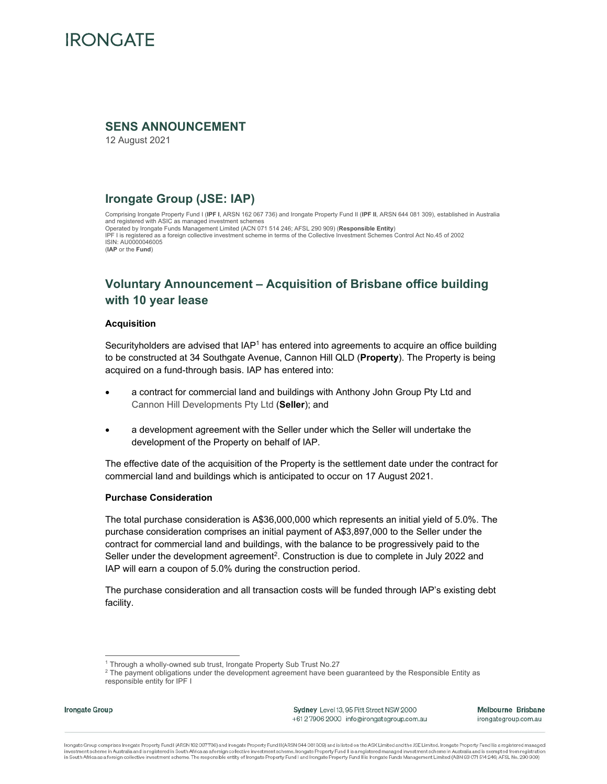

## **SENS ANNOUNCEMENT**

12 August 2021

## **Irongate Group (JSE: IAP)**

Comprising Irongate Property Fund I (**IPF I**, ARSN 162 067 736) and Irongate Property Fund II (**IPF II**, ARSN 644 081 309), established in Australia and registered with ASIC as managed investment schemes Operated by Irongate Funds Management Limited (ACN 071 514 246; AFSL 290 909) **(Responsible Entity**)<br>IPF I is registered as a foreign collective investment scheme in terms of the Collective Investment Schemes Control Act N ISIN: AU0000046005 (**IAP** or the **Fund**)

# **Voluntary Announcement – Acquisition of Brisbane office building with 10 year lease**

#### **Acquisition**

Securityholders are advised that IAP<sup>1</sup> has entered into agreements to acquire an office building to be constructed at 34 Southgate Avenue, Cannon Hill QLD (**Property**). The Property is being acquired on a fund-through basis. IAP has entered into:

- a contract for commercial land and buildings with Anthony John Group Pty Ltd and Cannon Hill Developments Pty Ltd (**Seller**); and
- a development agreement with the Seller under which the Seller will undertake the development of the Property on behalf of IAP.

The effective date of the acquisition of the Property is the settlement date under the contract for commercial land and buildings which is anticipated to occur on 17 August 2021.

#### **Purchase Consideration**

The total purchase consideration is A\$36,000,000 which represents an initial yield of 5.0%. The purchase consideration comprises an initial payment of A\$3,897,000 to the Seller under the contract for commercial land and buildings, with the balance to be progressively paid to the Seller under the development agreement<sup>2</sup>. Construction is due to complete in July 2022 and IAP will earn a coupon of 5.0% during the construction period.

The purchase consideration and all transaction costs will be funded through IAP's existing debt facility.

Irongate Group

Sydney Level 13, 95 Pitt Street NSW 2000 +612 7906 2000 info@irongategroup.com.au Melbourne Brisbane irongategroup.com.au

lrongate Group comprises Irongate Property Fund I (ARSN 162 067736) and Irongate Property Fund II (ARSN 644 081 309) and is listed on the ASX Limited and the JSE Limited. Irongate Property Fund I is a registered managed investment scheme in Australia and is registered in South Africa as a foreign collective investment scheme. Irongate Property Fund II is a registered managed investment scheme in Australia and is exempted from registration

<sup>&</sup>lt;sup>1</sup> Through a wholly-owned sub trust, Irongate Property Sub Trust No.27

 $^2$  The payment obligations under the development agreement have been guaranteed by the Responsible Entity as responsible entity for IPF I